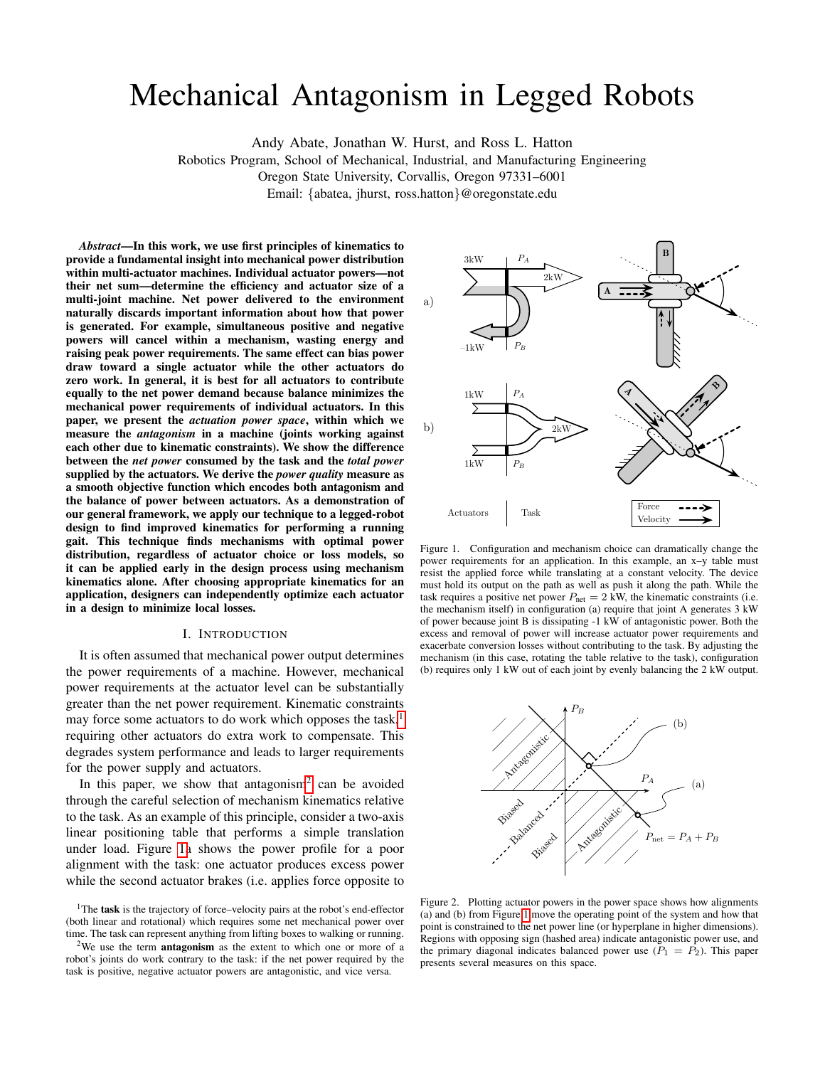# Mechanical Antagonism in Legged Robots

Andy Abate, Jonathan W. Hurst, and Ross L. Hatton

Robotics Program, School of Mechanical, Industrial, and Manufacturing Engineering

Oregon State University, Corvallis, Oregon 97331–6001

Email: {abatea, jhurst, ross.hatton}@oregonstate.edu

*Abstract*—In this work, we use first principles of kinematics to provide a fundamental insight into mechanical power distribution within multi-actuator machines. Individual actuator powers—not their net sum—determine the efficiency and actuator size of a multi-joint machine. Net power delivered to the environment naturally discards important information about how that power is generated. For example, simultaneous positive and negative powers will cancel within a mechanism, wasting energy and raising peak power requirements. The same effect can bias power draw toward a single actuator while the other actuators do zero work. In general, it is best for all actuators to contribute equally to the net power demand because balance minimizes the mechanical power requirements of individual actuators. In this paper, we present the *actuation power space*, within which we measure the *antagonism* in a machine (joints working against each other due to kinematic constraints). We show the difference between the *net power* consumed by the task and the *total power* supplied by the actuators. We derive the *power quality* measure as a smooth objective function which encodes both antagonism and the balance of power between actuators. As a demonstration of our general framework, we apply our technique to a legged-robot design to find improved kinematics for performing a running gait. This technique finds mechanisms with optimal power distribution, regardless of actuator choice or loss models, so it can be applied early in the design process using mechanism kinematics alone. After choosing appropriate kinematics for an application, designers can independently optimize each actuator in a design to minimize local losses.

## I. INTRODUCTION

It is often assumed that mechanical power output determines the power requirements of a machine. However, mechanical power requirements at the actuator level can be substantially greater than the net power requirement. Kinematic constraints may force some actuators to do work which opposes the task, $<sup>1</sup>$  $<sup>1</sup>$  $<sup>1</sup>$ </sup> requiring other actuators do extra work to compensate. This degrades system performance and leads to larger requirements for the power supply and actuators.

In this paper, we show that antagonism<sup>[2](#page-0-1)</sup> can be avoided through the careful selection of mechanism kinematics relative to the task. As an example of this principle, consider a two-axis linear positioning table that performs a simple translation under load. Figure [1a](#page-0-2) shows the power profile for a poor alignment with the task: one actuator produces excess power while the second actuator brakes (i.e. applies force opposite to



<span id="page-0-2"></span>Figure 1. Configuration and mechanism choice can dramatically change the power requirements for an application. In this example, an x–y table must resist the applied force while translating at a constant velocity. The device must hold its output on the path as well as push it along the path. While the task requires a positive net power  $P_{\text{net}} = 2$  kW, the kinematic constraints (i.e. the mechanism itself) in configuration (a) require that joint A generates 3 kW of power because joint B is dissipating -1 kW of antagonistic power. Both the excess and removal of power will increase actuator power requirements and exacerbate conversion losses without contributing to the task. By adjusting the mechanism (in this case, rotating the table relative to the task), configuration (b) requires only 1 kW out of each joint by evenly balancing the 2 kW output.



<span id="page-0-3"></span>Figure 2. Plotting actuator powers in the power space shows how alignments (a) and (b) from Figure [1](#page-0-2) move the operating point of the system and how that point is constrained to the net power line (or hyperplane in higher dimensions). Regions with opposing sign (hashed area) indicate antagonistic power use, and the primary diagonal indicates balanced power use  $(P_1 = P_2)$ . This paper presents several measures on this space.

<span id="page-0-0"></span><sup>&</sup>lt;sup>1</sup>The task is the trajectory of force–velocity pairs at the robot's end-effector (both linear and rotational) which requires some net mechanical power over time. The task can represent anything from lifting boxes to walking or running.

<span id="page-0-1"></span> $2$ We use the term **antagonism** as the extent to which one or more of a robot's joints do work contrary to the task: if the net power required by the task is positive, negative actuator powers are antagonistic, and vice versa.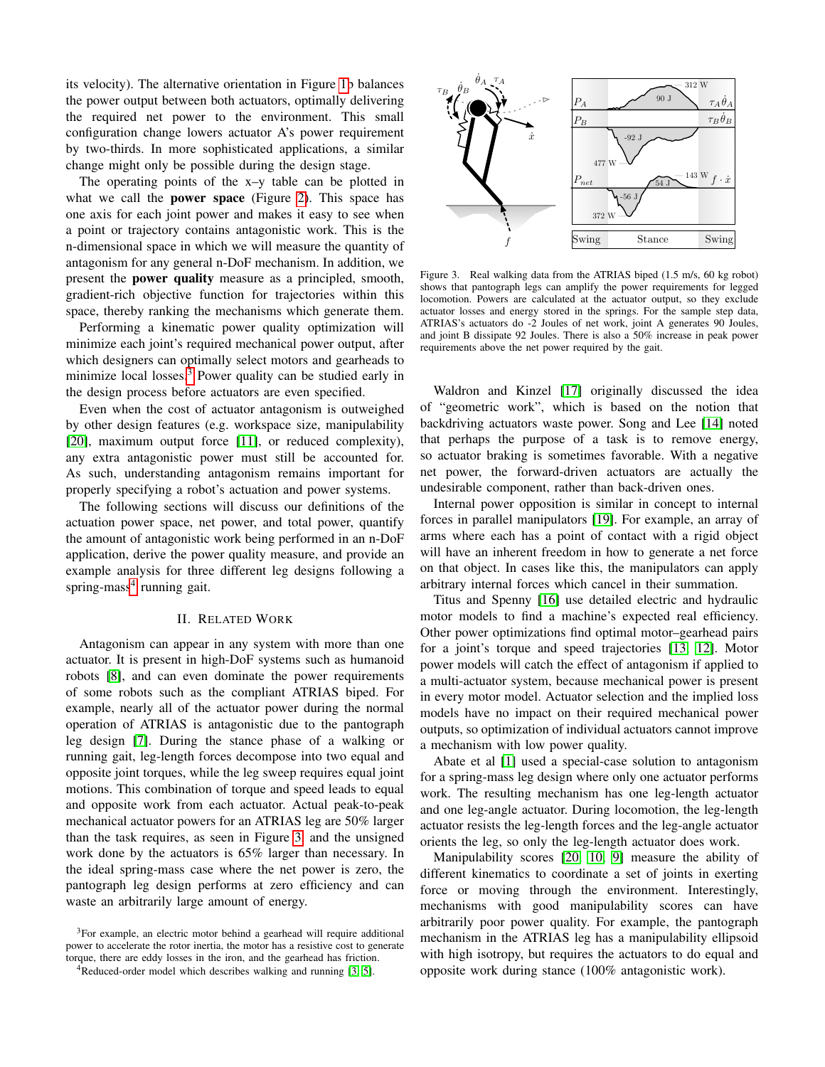its velocity). The alternative orientation in Figure [1b](#page-0-2) balances the power output between both actuators, optimally delivering the required net power to the environment. This small configuration change lowers actuator A's power requirement by two-thirds. In more sophisticated applications, a similar change might only be possible during the design stage.

The operating points of the x–y table can be plotted in what we call the **power space** (Figure [2\)](#page-0-3). This space has one axis for each joint power and makes it easy to see when a point or trajectory contains antagonistic work. This is the n-dimensional space in which we will measure the quantity of antagonism for any general n-DoF mechanism. In addition, we present the power quality measure as a principled, smooth, gradient-rich objective function for trajectories within this space, thereby ranking the mechanisms which generate them.

Performing a kinematic power quality optimization will minimize each joint's required mechanical power output, after which designers can optimally select motors and gearheads to minimize local losses.<sup>[3](#page-1-0)</sup> Power quality can be studied early in the design process before actuators are even specified.

Even when the cost of actuator antagonism is outweighed by other design features (e.g. workspace size, manipulability [\[20\]](#page-7-0), maximum output force [\[11\]](#page-7-1), or reduced complexity), any extra antagonistic power must still be accounted for. As such, understanding antagonism remains important for properly specifying a robot's actuation and power systems.

The following sections will discuss our definitions of the actuation power space, net power, and total power, quantify the amount of antagonistic work being performed in an n-DoF application, derive the power quality measure, and provide an example analysis for three different leg designs following a spring-mass<sup>[4](#page-1-1)</sup> running gait.

## II. RELATED WORK

Antagonism can appear in any system with more than one actuator. It is present in high-DoF systems such as humanoid robots [\[8\]](#page-7-2), and can even dominate the power requirements of some robots such as the compliant ATRIAS biped. For example, nearly all of the actuator power during the normal operation of ATRIAS is antagonistic due to the pantograph leg design [\[7\]](#page-7-3). During the stance phase of a walking or running gait, leg-length forces decompose into two equal and opposite joint torques, while the leg sweep requires equal joint motions. This combination of torque and speed leads to equal and opposite work from each actuator. Actual peak-to-peak mechanical actuator powers for an ATRIAS leg are 50% larger than the task requires, as seen in Figure [3,](#page-1-2) and the unsigned work done by the actuators is 65% larger than necessary. In the ideal spring-mass case where the net power is zero, the pantograph leg design performs at zero efficiency and can waste an arbitrarily large amount of energy.

<span id="page-1-0"></span><sup>3</sup>For example, an electric motor behind a gearhead will require additional power to accelerate the rotor inertia, the motor has a resistive cost to generate torque, there are eddy losses in the iron, and the gearhead has friction.



<span id="page-1-2"></span>Figure 3. Real walking data from the ATRIAS biped (1.5 m/s, 60 kg robot) shows that pantograph legs can amplify the power requirements for legged locomotion. Powers are calculated at the actuator output, so they exclude actuator losses and energy stored in the springs. For the sample step data, ATRIAS's actuators do -2 Joules of net work, joint A generates 90 Joules, and joint B dissipate 92 Joules. There is also a 50% increase in peak power requirements above the net power required by the gait.

Waldron and Kinzel [\[17\]](#page-7-6) originally discussed the idea of "geometric work", which is based on the notion that backdriving actuators waste power. Song and Lee [\[14\]](#page-7-7) noted that perhaps the purpose of a task is to remove energy, so actuator braking is sometimes favorable. With a negative net power, the forward-driven actuators are actually the undesirable component, rather than back-driven ones.

Internal power opposition is similar in concept to internal forces in parallel manipulators [\[19\]](#page-7-8). For example, an array of arms where each has a point of contact with a rigid object will have an inherent freedom in how to generate a net force on that object. In cases like this, the manipulators can apply arbitrary internal forces which cancel in their summation.

Titus and Spenny [\[16\]](#page-7-9) use detailed electric and hydraulic motor models to find a machine's expected real efficiency. Other power optimizations find optimal motor–gearhead pairs for a joint's torque and speed trajectories [\[13,](#page-7-10) [12\]](#page-7-11). Motor power models will catch the effect of antagonism if applied to a multi-actuator system, because mechanical power is present in every motor model. Actuator selection and the implied loss models have no impact on their required mechanical power outputs, so optimization of individual actuators cannot improve a mechanism with low power quality.

Abate et al [\[1\]](#page-7-12) used a special-case solution to antagonism for a spring-mass leg design where only one actuator performs work. The resulting mechanism has one leg-length actuator and one leg-angle actuator. During locomotion, the leg-length actuator resists the leg-length forces and the leg-angle actuator orients the leg, so only the leg-length actuator does work.

Manipulability scores [\[20,](#page-7-0) [10,](#page-7-13) [9\]](#page-7-14) measure the ability of different kinematics to coordinate a set of joints in exerting force or moving through the environment. Interestingly, mechanisms with good manipulability scores can have arbitrarily poor power quality. For example, the pantograph mechanism in the ATRIAS leg has a manipulability ellipsoid with high isotropy, but requires the actuators to do equal and opposite work during stance (100% antagonistic work).

<span id="page-1-1"></span><sup>&</sup>lt;sup>4</sup>Reduced-order model which describes walking and running [\[3,](#page-7-4) [5\]](#page-7-5).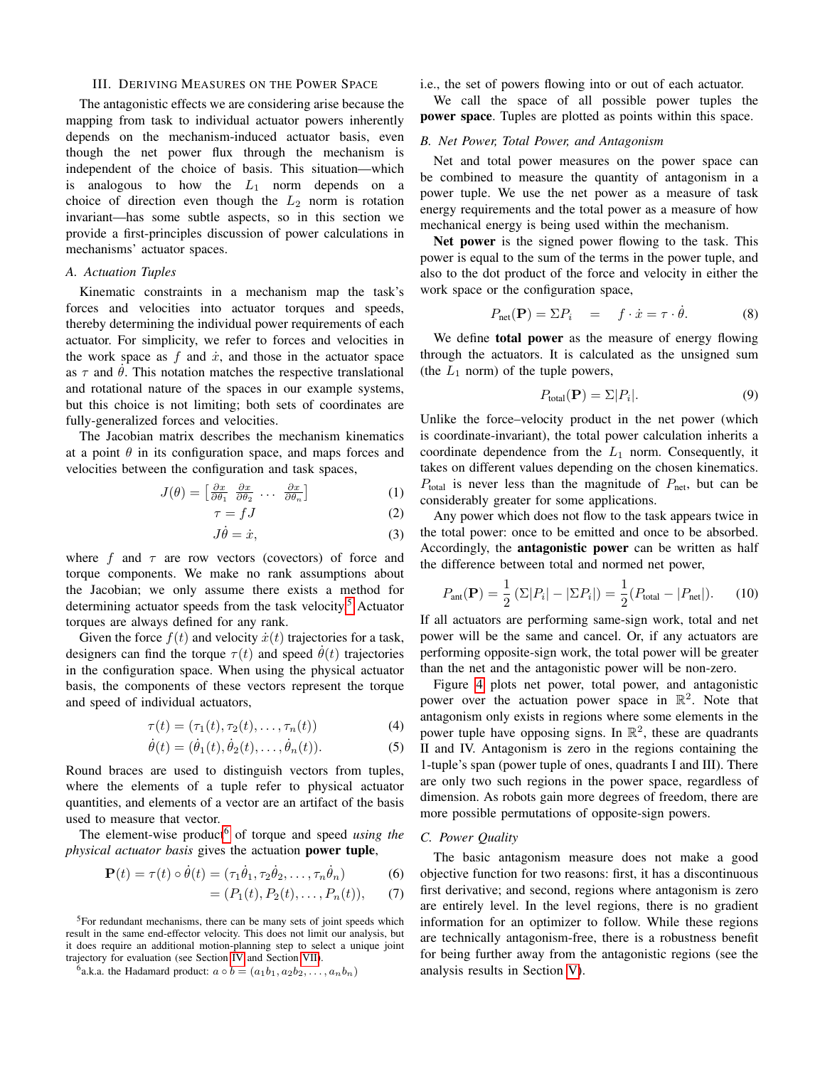#### III. DERIVING MEASURES ON THE POWER SPACE

The antagonistic effects we are considering arise because the mapping from task to individual actuator powers inherently depends on the mechanism-induced actuator basis, even though the net power flux through the mechanism is independent of the choice of basis. This situation—which is analogous to how the  $L_1$  norm depends on a choice of direction even though the  $L_2$  norm is rotation invariant—has some subtle aspects, so in this section we provide a first-principles discussion of power calculations in mechanisms' actuator spaces.

# *A. Actuation Tuples*

Kinematic constraints in a mechanism map the task's forces and velocities into actuator torques and speeds, thereby determining the individual power requirements of each actuator. For simplicity, we refer to forces and velocities in the work space as  $f$  and  $\dot{x}$ , and those in the actuator space as  $\tau$  and  $\theta$ . This notation matches the respective translational and rotational nature of the spaces in our example systems, but this choice is not limiting; both sets of coordinates are fully-generalized forces and velocities.

The Jacobian matrix describes the mechanism kinematics at a point  $\theta$  in its configuration space, and maps forces and velocities between the configuration and task spaces,

$$
J(\theta) = \begin{bmatrix} \frac{\partial x}{\partial \theta_1} & \frac{\partial x}{\partial \theta_2} & \dots & \frac{\partial x}{\partial \theta_n} \end{bmatrix}
$$
 (1)

$$
\tau = fJ \tag{2}
$$

$$
J\dot{\theta} = \dot{x},\tag{3}
$$

where f and  $\tau$  are row vectors (covectors) of force and torque components. We make no rank assumptions about the Jacobian; we only assume there exists a method for determining actuator speeds from the task velocity.<sup>[5](#page-2-0)</sup> Actuator torques are always defined for any rank.

Given the force  $f(t)$  and velocity  $\dot{x}(t)$  trajectories for a task, designers can find the torque  $\tau(t)$  and speed  $\theta(t)$  trajectories in the configuration space. When using the physical actuator basis, the components of these vectors represent the torque and speed of individual actuators,

$$
\tau(t) = (\tau_1(t), \tau_2(t), \dots, \tau_n(t)) \tag{4}
$$

$$
\dot{\theta}(t) = (\dot{\theta}_1(t), \dot{\theta}_2(t), \dots, \dot{\theta}_n(t)).
$$
\n(5)

Round braces are used to distinguish vectors from tuples, where the elements of a tuple refer to physical actuator quantities, and elements of a vector are an artifact of the basis used to measure that vector.

The element-wise product<sup>[6](#page-2-1)</sup> of torque and speed *using the physical actuator basis* gives the actuation power tuple,

$$
\mathbf{P}(t) = \tau(t) \circ \dot{\theta}(t) = (\tau_1 \dot{\theta}_1, \tau_2 \dot{\theta}_2, \dots, \tau_n \dot{\theta}_n)
$$
 (6)

$$
= (P_1(t), P_2(t), \dots, P_n(t)), \qquad (7)
$$

<span id="page-2-0"></span><sup>5</sup>For redundant mechanisms, there can be many sets of joint speeds which result in the same end-effector velocity. This does not limit our analysis, but it does require an additional motion-planning step to select a unique joint trajectory for evaluation (see Section [IV](#page-3-0) and Section [VII\)](#page-6-0).

<span id="page-2-1"></span><sup>6</sup>a.k.a. the Hadamard product:  $a \circ b = (a_1b_1, a_2b_2, \ldots, a_nb_n)$ 

i.e., the set of powers flowing into or out of each actuator.

We call the space of all possible power tuples the power space. Tuples are plotted as points within this space.

# *B. Net Power, Total Power, and Antagonism*

Net and total power measures on the power space can be combined to measure the quantity of antagonism in a power tuple. We use the net power as a measure of task energy requirements and the total power as a measure of how mechanical energy is being used within the mechanism.

Net power is the signed power flowing to the task. This power is equal to the sum of the terms in the power tuple, and also to the dot product of the force and velocity in either the work space or the configuration space,

$$
P_{\text{net}}(\mathbf{P}) = \Sigma P_i = f \cdot \dot{x} = \tau \cdot \dot{\theta}.
$$
 (8)

We define total power as the measure of energy flowing through the actuators. It is calculated as the unsigned sum (the  $L_1$  norm) of the tuple powers,

$$
P_{\text{total}}(\mathbf{P}) = \Sigma |P_i|.
$$
 (9)

Unlike the force–velocity product in the net power (which is coordinate-invariant), the total power calculation inherits a coordinate dependence from the  $L_1$  norm. Consequently, it takes on different values depending on the chosen kinematics.  $P_{total}$  is never less than the magnitude of  $P_{net}$ , but can be considerably greater for some applications.

Any power which does not flow to the task appears twice in the total power: once to be emitted and once to be absorbed. Accordingly, the antagonistic power can be written as half the difference between total and normed net power,

$$
P_{\text{ant}}(\mathbf{P}) = \frac{1}{2} \left( \Sigma |P_i| - |\Sigma P_i| \right) = \frac{1}{2} (P_{\text{total}} - |P_{\text{net}}|). \tag{10}
$$

If all actuators are performing same-sign work, total and net power will be the same and cancel. Or, if any actuators are performing opposite-sign work, the total power will be greater than the net and the antagonistic power will be non-zero.

Figure [4](#page-3-1) plots net power, total power, and antagonistic power over the actuation power space in  $\mathbb{R}^2$ . Note that antagonism only exists in regions where some elements in the power tuple have opposing signs. In  $\mathbb{R}^2$ , these are quadrants II and IV. Antagonism is zero in the regions containing the 1-tuple's span (power tuple of ones, quadrants I and III). There are only two such regions in the power space, regardless of dimension. As robots gain more degrees of freedom, there are more possible permutations of opposite-sign powers.

# *C. Power Quality*

The basic antagonism measure does not make a good objective function for two reasons: first, it has a discontinuous first derivative; and second, regions where antagonism is zero are entirely level. In the level regions, there is no gradient information for an optimizer to follow. While these regions are technically antagonism-free, there is a robustness benefit for being further away from the antagonistic regions (see the analysis results in Section [V\)](#page-4-0).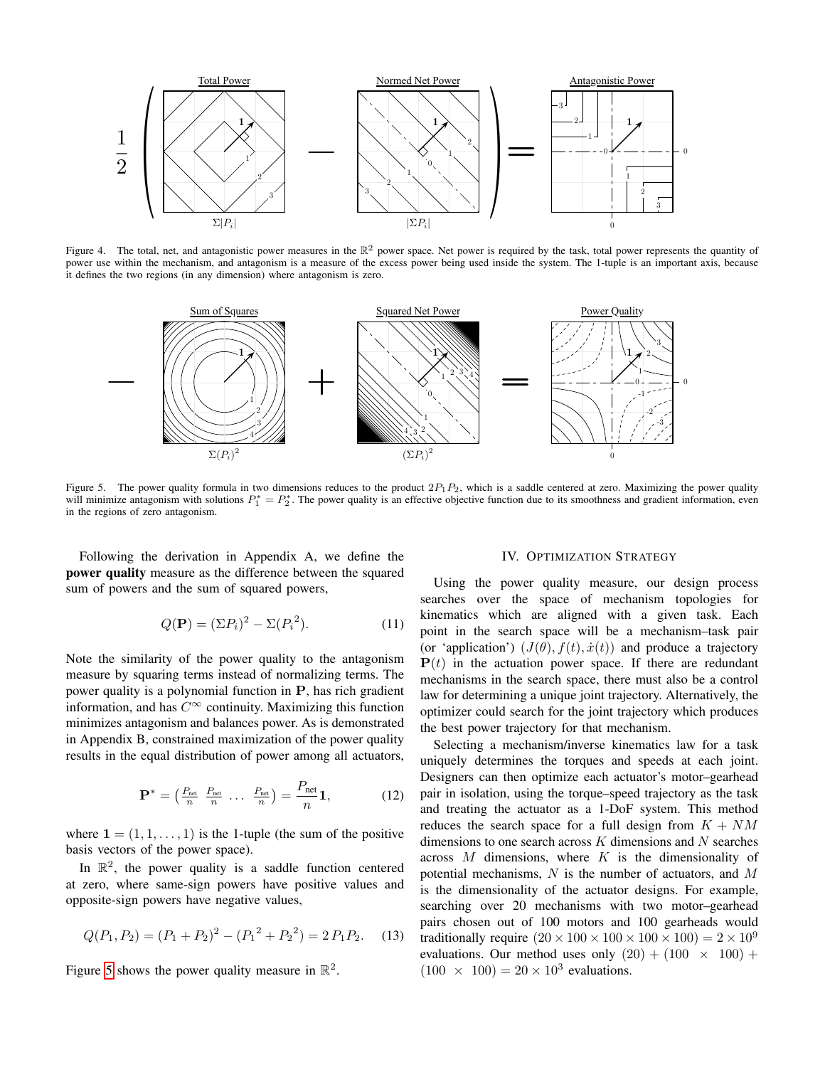

<span id="page-3-1"></span>Figure 4. The total, net, and antagonistic power measures in the  $\mathbb{R}^2$  power space. Net power is required by the task, total power represents the quantity of power use within the mechanism, and antagonism is a measure of the excess power being used inside the system. The 1-tuple is an important axis, because it defines the two regions (in any dimension) where antagonism is zero.



<span id="page-3-2"></span>Figure 5. The power quality formula in two dimensions reduces to the product  $2P_1P_2$ , which is a saddle centered at zero. Maximizing the power quality will minimize antagonism with solutions  $P_1^* = P_2^*$ . The power quality is an effective objective function due to its smoothness and gradient information, even in the regions of zero antagonism.

Following the derivation in Appendix A, we define the power quality measure as the difference between the squared sum of powers and the sum of squared powers,

$$
Q(\mathbf{P}) = (\Sigma P_i)^2 - \Sigma (P_i^2). \tag{11}
$$

Note the similarity of the power quality to the antagonism measure by squaring terms instead of normalizing terms. The power quality is a polynomial function in P, has rich gradient information, and has  $C^{\infty}$  continuity. Maximizing this function minimizes antagonism and balances power. As is demonstrated in Appendix B, constrained maximization of the power quality results in the equal distribution of power among all actuators,

$$
\mathbf{P}^* = \begin{pmatrix} \frac{P_{\text{net}}}{n} & \frac{P_{\text{net}}}{n} & \dots & \frac{P_{\text{net}}}{n} \end{pmatrix} = \frac{P_{\text{net}}}{n} \mathbf{1},\tag{12}
$$

where  $\mathbf{1} = (1, 1, \dots, 1)$  is the 1-tuple (the sum of the positive basis vectors of the power space).

In  $\mathbb{R}^2$ , the power quality is a saddle function centered at zero, where same-sign powers have positive values and opposite-sign powers have negative values,

$$
Q(P_1, P_2) = (P_1 + P_2)^2 - (P_1^2 + P_2^2) = 2 P_1 P_2.
$$
 (13)

Figure [5](#page-3-2) shows the power quality measure in  $\mathbb{R}^2$ .

# IV. OPTIMIZATION STRATEGY

<span id="page-3-0"></span>Using the power quality measure, our design process searches over the space of mechanism topologies for kinematics which are aligned with a given task. Each point in the search space will be a mechanism–task pair (or 'application')  $(J(\theta), f(t), \dot{x}(t))$  and produce a trajectory  $P(t)$  in the actuation power space. If there are redundant mechanisms in the search space, there must also be a control law for determining a unique joint trajectory. Alternatively, the optimizer could search for the joint trajectory which produces the best power trajectory for that mechanism.

Selecting a mechanism/inverse kinematics law for a task uniquely determines the torques and speeds at each joint. Designers can then optimize each actuator's motor–gearhead pair in isolation, using the torque–speed trajectory as the task and treating the actuator as a 1-DoF system. This method reduces the search space for a full design from  $K + NM$ dimensions to one search across  $K$  dimensions and  $N$  searches across  $M$  dimensions, where  $K$  is the dimensionality of potential mechanisms,  $N$  is the number of actuators, and  $M$ is the dimensionality of the actuator designs. For example, searching over 20 mechanisms with two motor–gearhead pairs chosen out of 100 motors and 100 gearheads would traditionally require  $(20 \times 100 \times 100 \times 100 \times 100) = 2 \times 10^9$ evaluations. Our method uses only  $(20) + (100 \times 100) +$  $(100 \times 100) = 20 \times 10^3$  evaluations.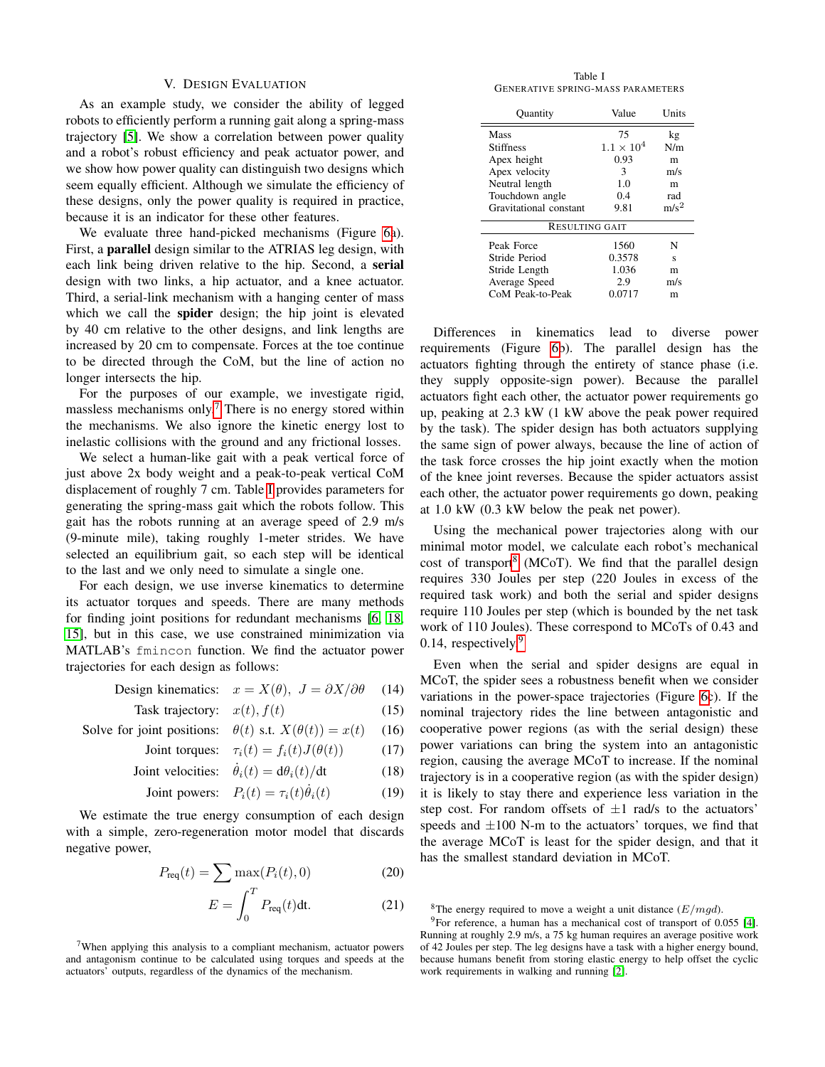#### V. DESIGN EVALUATION

<span id="page-4-0"></span>As an example study, we consider the ability of legged robots to efficiently perform a running gait along a spring-mass trajectory [\[5\]](#page-7-5). We show a correlation between power quality and a robot's robust efficiency and peak actuator power, and we show how power quality can distinguish two designs which seem equally efficient. Although we simulate the efficiency of these designs, only the power quality is required in practice, because it is an indicator for these other features.

We evaluate three hand-picked mechanisms (Figure [6a](#page-5-0)). First, a parallel design similar to the ATRIAS leg design, with each link being driven relative to the hip. Second, a serial design with two links, a hip actuator, and a knee actuator. Third, a serial-link mechanism with a hanging center of mass which we call the spider design; the hip joint is elevated by 40 cm relative to the other designs, and link lengths are increased by 20 cm to compensate. Forces at the toe continue to be directed through the CoM, but the line of action no longer intersects the hip.

For the purposes of our example, we investigate rigid, massless mechanisms only.<sup>[7](#page-4-1)</sup> There is no energy stored within the mechanisms. We also ignore the kinetic energy lost to inelastic collisions with the ground and any frictional losses.

We select a human-like gait with a peak vertical force of just above 2x body weight and a peak-to-peak vertical CoM displacement of roughly 7 cm. Table [I](#page-4-2) provides parameters for generating the spring-mass gait which the robots follow. This gait has the robots running at an average speed of 2.9 m/s (9-minute mile), taking roughly 1-meter strides. We have selected an equilibrium gait, so each step will be identical to the last and we only need to simulate a single one.

For each design, we use inverse kinematics to determine its actuator torques and speeds. There are many methods for finding joint positions for redundant mechanisms [\[6,](#page-7-15) [18,](#page-7-16) [15\]](#page-7-17), but in this case, we use constrained minimization via MATLAB's fmincon function. We find the actuator power trajectories for each design as follows:

Design kinematics: 
$$
x = X(\theta), J = \partial X/\partial \theta
$$
 (14)

Task trajectory: 
$$
x(t), f(t)
$$
 (15)

Solve for joint positions: 
$$
\theta(t)
$$
 s.t.  $X(\theta(t)) = x(t)$  (16)

Joint torques: 
$$
\tau_i(t) = f_i(t)J(\theta(t))
$$
 (17)

Joint velocities: 
$$
\dot{\theta}_i(t) = d\theta_i(t)/dt
$$
 (18)

Joint powers: 
$$
P_i(t) = \tau_i(t)\dot{\theta}_i(t)
$$
 (19)

We estimate the true energy consumption of each design with a simple, zero-regeneration motor model that discards negative power,

$$
P_{\text{req}}(t) = \sum \max(P_i(t), 0) \tag{20}
$$

$$
E = \int_0^T P_{\text{req}}(t) \text{dt}.
$$
 (21)

<span id="page-4-1"></span><sup>7</sup>When applying this analysis to a compliant mechanism, actuator powers and antagonism continue to be calculated using torques and speeds at the actuators' outputs, regardless of the dynamics of the mechanism.

Table I GENERATIVE SPRING-MASS PARAMETERS

<span id="page-4-2"></span>þ

| Ouantity               | Value               | Units   |  |  |  |
|------------------------|---------------------|---------|--|--|--|
| Mass                   | 75                  | kg      |  |  |  |
| <b>Stiffness</b>       | $1.1 \times 10^{4}$ | N/m     |  |  |  |
| Apex height            | 0.93                | m       |  |  |  |
| Apex velocity          | 3                   | m/s     |  |  |  |
| Neutral length         | 1.0                 | m       |  |  |  |
| Touchdown angle        | 0.4                 | rad     |  |  |  |
| Gravitational constant | 9.81                | $m/s^2$ |  |  |  |
| <b>RESULTING GAIT</b>  |                     |         |  |  |  |
| Peak Force             | 1560                | N       |  |  |  |
| Stride Period          | 0.3578<br>S         |         |  |  |  |
| Stride Length          | 1.036               | m       |  |  |  |
| Average Speed          | 2.9<br>m/s          |         |  |  |  |
| CoM Peak-to-Peak       | 0.0717              | m       |  |  |  |

Differences in kinematics lead to diverse power requirements (Figure [6b](#page-5-0)). The parallel design has the actuators fighting through the entirety of stance phase (i.e. they supply opposite-sign power). Because the parallel actuators fight each other, the actuator power requirements go up, peaking at 2.3 kW (1 kW above the peak power required by the task). The spider design has both actuators supplying the same sign of power always, because the line of action of the task force crosses the hip joint exactly when the motion of the knee joint reverses. Because the spider actuators assist each other, the actuator power requirements go down, peaking at 1.0 kW (0.3 kW below the peak net power).

Using the mechanical power trajectories along with our minimal motor model, we calculate each robot's mechanical cost of transport<sup>[8](#page-4-3)</sup> (MCoT). We find that the parallel design requires 330 Joules per step (220 Joules in excess of the required task work) and both the serial and spider designs require 110 Joules per step (which is bounded by the net task work of 110 Joules). These correspond to MCoTs of 0.43 and 0.14, respectively. $9$ 

Even when the serial and spider designs are equal in MCoT, the spider sees a robustness benefit when we consider variations in the power-space trajectories (Figure [6c](#page-5-0)). If the nominal trajectory rides the line between antagonistic and cooperative power regions (as with the serial design) these power variations can bring the system into an antagonistic region, causing the average MCoT to increase. If the nominal trajectory is in a cooperative region (as with the spider design) it is likely to stay there and experience less variation in the step cost. For random offsets of  $\pm 1$  rad/s to the actuators' speeds and  $\pm 100$  N-m to the actuators' torques, we find that the average MCoT is least for the spider design, and that it has the smallest standard deviation in MCoT.

<span id="page-4-4"></span><span id="page-4-3"></span><sup>8</sup>The energy required to move a weight a unit distance  $(E/mgd)$ .

<sup>9</sup>For reference, a human has a mechanical cost of transport of 0.055 [\[4\]](#page-7-18). Running at roughly 2.9 m/s, a 75 kg human requires an average positive work of 42 Joules per step. The leg designs have a task with a higher energy bound, because humans benefit from storing elastic energy to help offset the cyclic work requirements in walking and running [\[2\]](#page-7-19).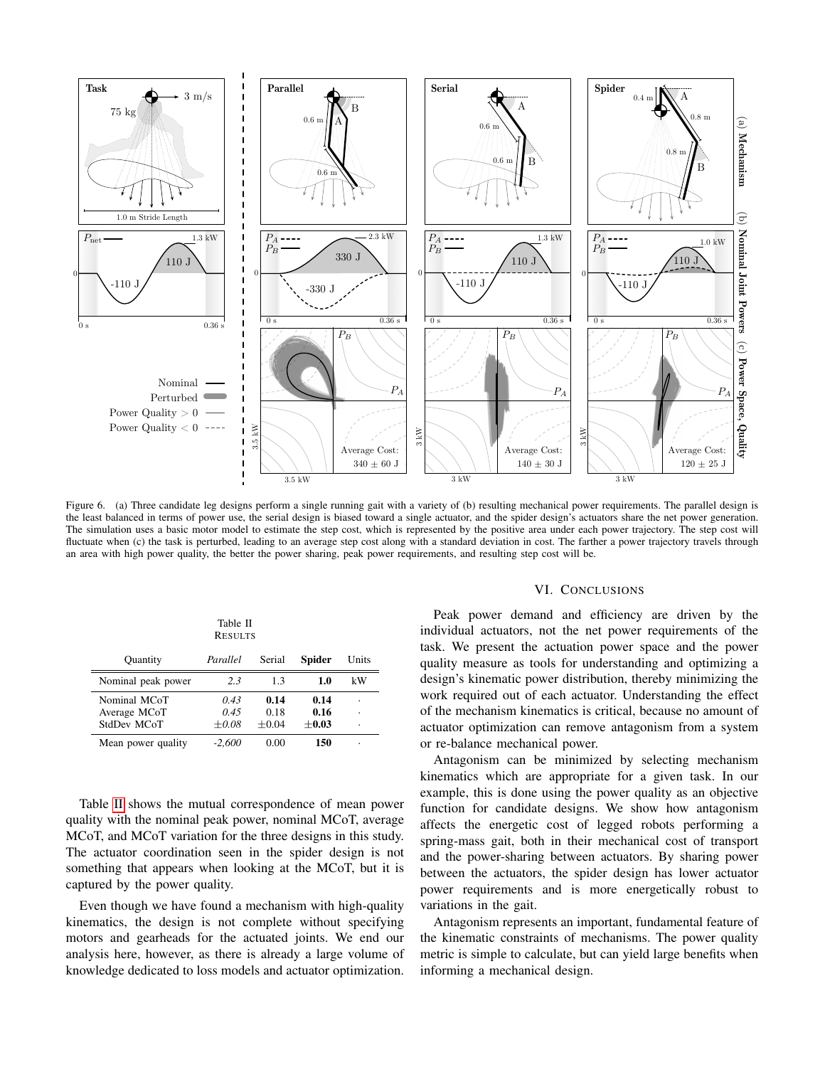

<span id="page-5-0"></span>Figure 6. (a) Three candidate leg designs perform a single running gait with a variety of (b) resulting mechanical power requirements. The parallel design is the least balanced in terms of power use, the serial design is biased toward a single actuator, and the spider design's actuators share the net power generation. The simulation uses a basic motor model to estimate the step cost, which is represented by the positive area under each power trajectory. The step cost will fluctuate when (c) the task is perturbed, leading to an average step cost along with a standard deviation in cost. The farther a power trajectory travels through an area with high power quality, the better the power sharing, peak power requirements, and resulting step cost will be.

<span id="page-5-1"></span>

| Table II<br><b>RESULTS</b>                  |                         |                         |                         |              |  |
|---------------------------------------------|-------------------------|-------------------------|-------------------------|--------------|--|
| <b>Quantity</b>                             | Parallel                | Serial                  | <b>Spider</b>           | Units        |  |
| Nominal peak power                          | 2.3                     | 1.3                     | 1.0                     | kW           |  |
| Nominal MCoT<br>Average MCoT<br>StdDev MCoT | 0.43<br>0.45<br>$+0.08$ | 0.14<br>0.18<br>$+0.04$ | 0.14<br>0.16<br>$+0.03$ | ł.<br>٠<br>٠ |  |
| Mean power quality                          | -2.600                  | 0.00                    | 150                     |              |  |

Table [II](#page-5-1) shows the mutual correspondence of mean power quality with the nominal peak power, nominal MCoT, average MCoT, and MCoT variation for the three designs in this study. The actuator coordination seen in the spider design is not something that appears when looking at the MCoT, but it is captured by the power quality.

Even though we have found a mechanism with high-quality kinematics, the design is not complete without specifying motors and gearheads for the actuated joints. We end our analysis here, however, as there is already a large volume of knowledge dedicated to loss models and actuator optimization.

#### VI. CONCLUSIONS

Peak power demand and efficiency are driven by the individual actuators, not the net power requirements of the task. We present the actuation power space and the power quality measure as tools for understanding and optimizing a design's kinematic power distribution, thereby minimizing the work required out of each actuator. Understanding the effect of the mechanism kinematics is critical, because no amount of actuator optimization can remove antagonism from a system or re-balance mechanical power.

Antagonism can be minimized by selecting mechanism kinematics which are appropriate for a given task. In our example, this is done using the power quality as an objective function for candidate designs. We show how antagonism affects the energetic cost of legged robots performing a spring-mass gait, both in their mechanical cost of transport and the power-sharing between actuators. By sharing power between the actuators, the spider design has lower actuator power requirements and is more energetically robust to variations in the gait.

Antagonism represents an important, fundamental feature of the kinematic constraints of mechanisms. The power quality metric is simple to calculate, but can yield large benefits when informing a mechanical design.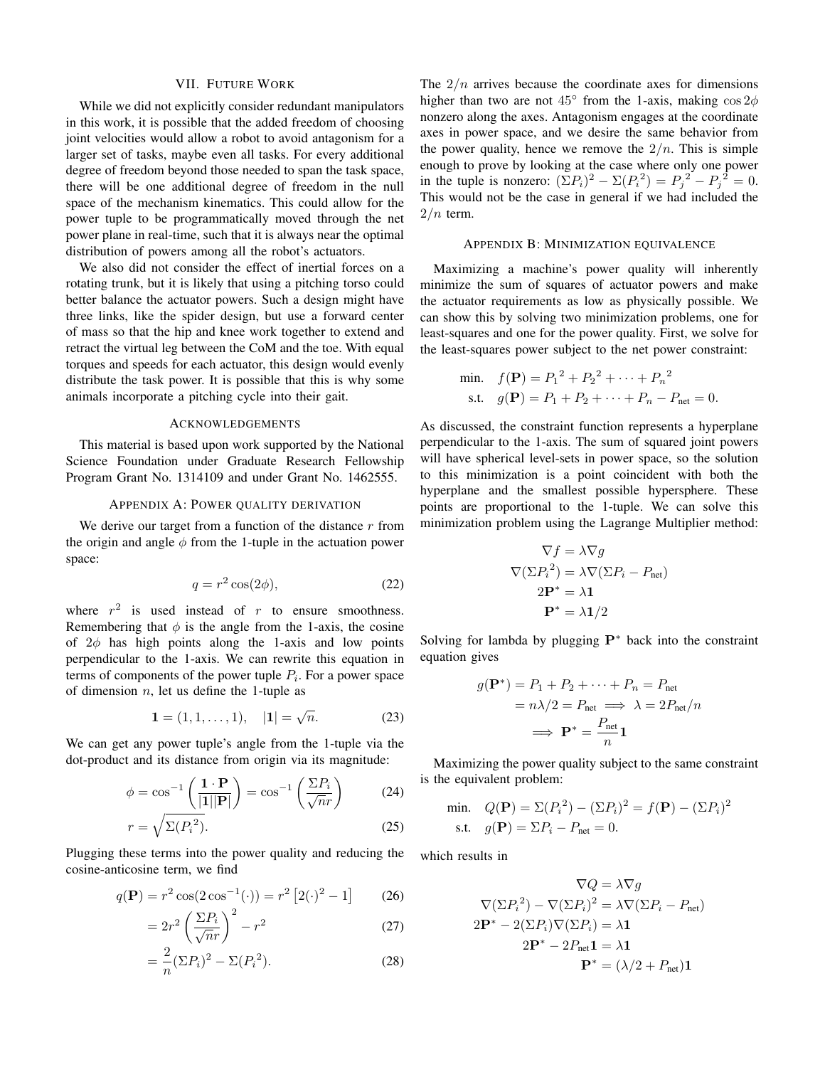## VII. FUTURE WORK

<span id="page-6-0"></span>While we did not explicitly consider redundant manipulators in this work, it is possible that the added freedom of choosing joint velocities would allow a robot to avoid antagonism for a larger set of tasks, maybe even all tasks. For every additional degree of freedom beyond those needed to span the task space, there will be one additional degree of freedom in the null space of the mechanism kinematics. This could allow for the power tuple to be programmatically moved through the net power plane in real-time, such that it is always near the optimal distribution of powers among all the robot's actuators.

We also did not consider the effect of inertial forces on a rotating trunk, but it is likely that using a pitching torso could better balance the actuator powers. Such a design might have three links, like the spider design, but use a forward center of mass so that the hip and knee work together to extend and retract the virtual leg between the CoM and the toe. With equal torques and speeds for each actuator, this design would evenly distribute the task power. It is possible that this is why some animals incorporate a pitching cycle into their gait.

# ACKNOWLEDGEMENTS

This material is based upon work supported by the National Science Foundation under Graduate Research Fellowship Program Grant No. 1314109 and under Grant No. 1462555.

# APPENDIX A: POWER QUALITY DERIVATION

We derive our target from a function of the distance  $r$  from the origin and angle  $\phi$  from the 1-tuple in the actuation power space:

$$
q = r^2 \cos(2\phi),\tag{22}
$$

where  $r^2$  is used instead of r to ensure smoothness. Remembering that  $\phi$  is the angle from the 1-axis, the cosine of  $2\phi$  has high points along the 1-axis and low points perpendicular to the 1-axis. We can rewrite this equation in terms of components of the power tuple  $P_i$ . For a power space of dimension  $n$ , let us define the 1-tuple as

$$
\mathbf{1} = (1, 1, \dots, 1), \quad |\mathbf{1}| = \sqrt{n}.\tag{23}
$$

We can get any power tuple's angle from the 1-tuple via the dot-product and its distance from origin via its magnitude:

$$
\phi = \cos^{-1}\left(\frac{1 \cdot \mathbf{P}}{|1||\mathbf{P}|}\right) = \cos^{-1}\left(\frac{\Sigma P_i}{\sqrt{n}r}\right) \tag{24}
$$

$$
r = \sqrt{\Sigma(P_i^2)}.
$$

Plugging these terms into the power quality and reducing the cosine-anticosine term, we find

$$
q(\mathbf{P}) = r^2 \cos(2\cos^{-1}(\cdot)) = r^2 [2(\cdot)^2 - 1]
$$
 (26)

$$
=2r^2\left(\frac{\Sigma P_i}{\sqrt{n}r}\right)^2-r^2\tag{27}
$$

$$
=\frac{2}{n}(\Sigma P_i)^2 - \Sigma (P_i^2). \tag{28}
$$

The  $2/n$  arrives because the coordinate axes for dimensions higher than two are not  $45^{\circ}$  from the 1-axis, making  $\cos 2\phi$ nonzero along the axes. Antagonism engages at the coordinate axes in power space, and we desire the same behavior from the power quality, hence we remove the  $2/n$ . This is simple enough to prove by looking at the case where only one power in the tuple is nonzero:  $(\Sigma P_i)^2 - \Sigma (P_i^2) = P_j^2 - P_j^2 = 0$ . This would not be the case in general if we had included the  $2/n$  term.

# APPENDIX B: MINIMIZATION EQUIVALENCE

Maximizing a machine's power quality will inherently minimize the sum of squares of actuator powers and make the actuator requirements as low as physically possible. We can show this by solving two minimization problems, one for least-squares and one for the power quality. First, we solve for the least-squares power subject to the net power constraint:

min. 
$$
f(\mathbf{P}) = P_1^2 + P_2^2 + \dots + P_n^2
$$
  
s.t.  $g(\mathbf{P}) = P_1 + P_2 + \dots + P_n - P_{\text{net}} = 0$ .

As discussed, the constraint function represents a hyperplane perpendicular to the 1-axis. The sum of squared joint powers will have spherical level-sets in power space, so the solution to this minimization is a point coincident with both the hyperplane and the smallest possible hypersphere. These points are proportional to the 1-tuple. We can solve this minimization problem using the Lagrange Multiplier method:

$$
\nabla f = \lambda \nabla g
$$

$$
\nabla (\Sigma P_i^2) = \lambda \nabla (\Sigma P_i - P_{\text{net}})
$$

$$
2\mathbf{P}^* = \lambda \mathbf{1}
$$

$$
\mathbf{P}^* = \lambda \mathbf{1}/2
$$

Solving for lambda by plugging P<sup>∗</sup> back into the constraint equation gives

$$
g(\mathbf{P}^*) = P_1 + P_2 + \dots + P_n = P_{\text{net}}
$$

$$
= n\lambda/2 = P_{\text{net}} \implies \lambda = 2P_{\text{net}}/n
$$

$$
\implies \mathbf{P}^* = \frac{P_{\text{net}}}{n}\mathbf{1}
$$

Maximizing the power quality subject to the same constraint is the equivalent problem:

min. 
$$
Q(\mathbf{P}) = \Sigma (P_i^2) - (\Sigma P_i)^2 = f(\mathbf{P}) - (\Sigma P_i)^2
$$
  
s.t.  $g(\mathbf{P}) = \Sigma P_i - P_{\text{net}} = 0$ .

which results in

$$
\nabla Q = \lambda \nabla g
$$

$$
\nabla (\Sigma P_i^2) - \nabla (\Sigma P_i)^2 = \lambda \nabla (\Sigma P_i - P_{\text{net}})
$$

$$
2\mathbf{P}^* - 2(\Sigma P_i) \nabla (\Sigma P_i) = \lambda \mathbf{1}
$$

$$
2\mathbf{P}^* - 2P_{\text{net}} \mathbf{1} = \lambda \mathbf{1}
$$

$$
\mathbf{P}^* = (\lambda/2 + P_{\text{net}}) \mathbf{1}
$$